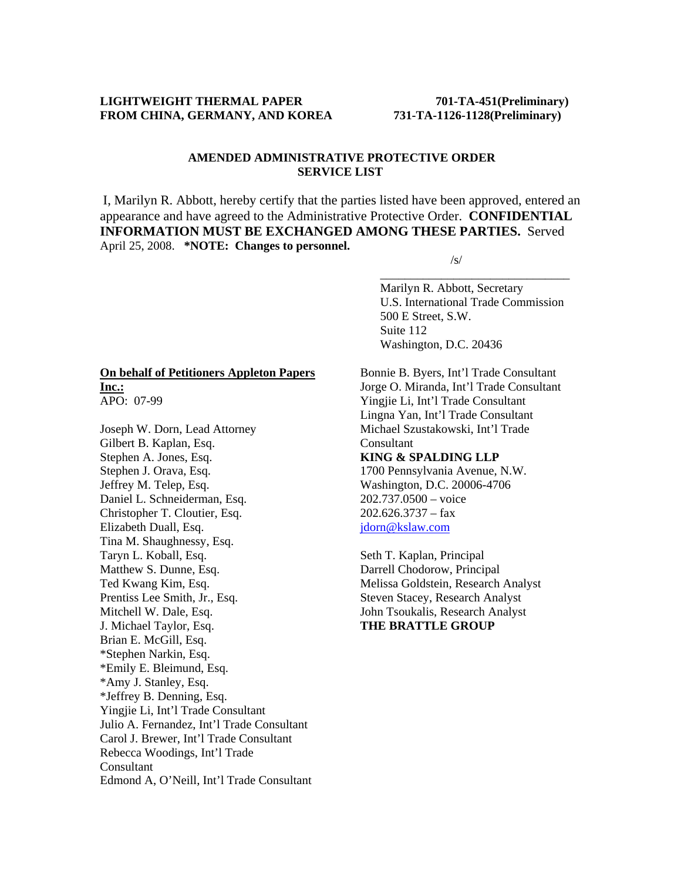### LIGHTWEIGHT THERMAL PAPER 701-TA-451(Preliminary) **FROM CHINA, GERMANY, AND KOREA 731-TA-1126-1128(Preliminary)**

#### **AMENDED ADMINISTRATIVE PROTECTIVE ORDER SERVICE LIST**

I, Marilyn R. Abbott, hereby certify that the parties listed have been approved, entered an appearance and have agreed to the Administrative Protective Order. **CONFIDENTIAL INFORMATION MUST BE EXCHANGED AMONG THESE PARTIES.** Served April 25, 2008. **\*NOTE: Changes to personnel.** 

 $\overline{\phantom{a}}$  , and the contract of the contract of the contract of the contract of the contract of the contract of the contract of the contract of the contract of the contract of the contract of the contract of the contrac

 $\sqrt{s}$ /s/

 Marilyn R. Abbott, Secretary U.S. International Trade Commission 500 E Street, S.W. Suite 112 Washington, D.C. 20436

#### **On behalf of Petitioners Appleton Papers Inc.:** APO: 07-99

Joseph W. Dorn, Lead Attorney Gilbert B. Kaplan, Esq. Stephen A. Jones, Esq. Stephen J. Orava, Esq. Jeffrey M. Telep, Esq. Daniel L. Schneiderman, Esq. Christopher T. Cloutier, Esq. Elizabeth Duall, Esq. Tina M. Shaughnessy, Esq. Taryn L. Koball, Esq. Matthew S. Dunne, Esq. Ted Kwang Kim, Esq. Prentiss Lee Smith, Jr., Esq. Mitchell W. Dale, Esq. J. Michael Taylor, Esq. Brian E. McGill, Esq. \*Stephen Narkin, Esq. \*Emily E. Bleimund, Esq. \*Amy J. Stanley, Esq. \*Jeffrey B. Denning, Esq. Yingjie Li, Int'l Trade Consultant Julio A. Fernandez, Int'l Trade Consultant Carol J. Brewer, Int'l Trade Consultant Rebecca Woodings, Int'l Trade Consultant Edmond A, O'Neill, Int'l Trade Consultant Bonnie B. Byers, Int'l Trade Consultant Jorge O. Miranda, Int'l Trade Consultant Yingjie Li, Int'l Trade Consultant Lingna Yan, Int'l Trade Consultant Michael Szustakowski, Int'l Trade Consultant **KING & SPALDING LLP**

# 1700 Pennsylvania Avenue, N.W. Washington, D.C. 20006-4706 202.737.0500 – voice  $202.626.3737 - fax$ jdorn@kslaw.com

Seth T. Kaplan, Principal Darrell Chodorow, Principal Melissa Goldstein, Research Analyst Steven Stacey, Research Analyst John Tsoukalis, Research Analyst **THE BRATTLE GROUP**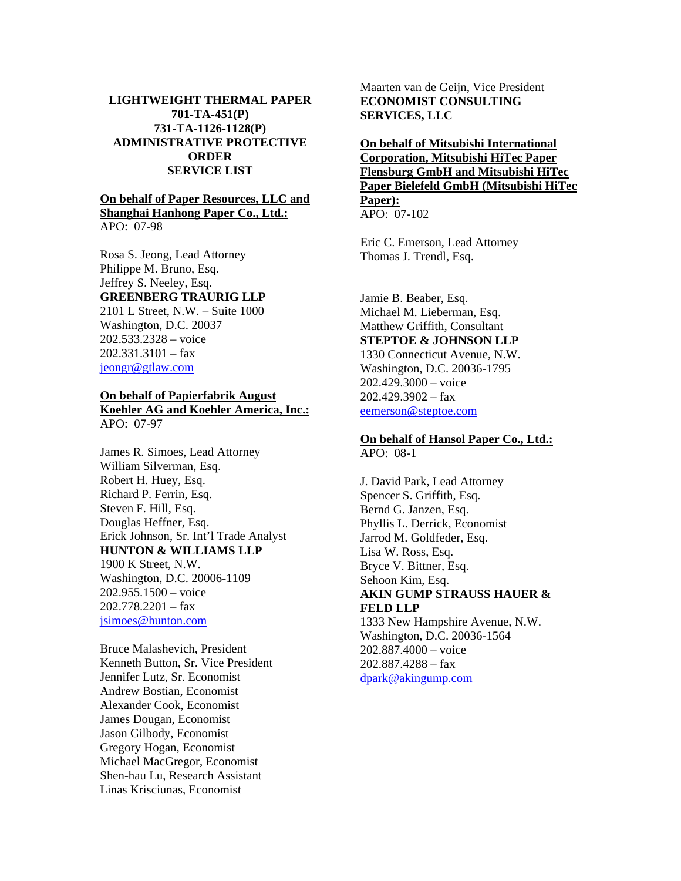### **LIGHTWEIGHT THERMAL PAPER 701-TA-451(P) 731-TA-1126-1128(P) ADMINISTRATIVE PROTECTIVE ORDER SERVICE LIST**

#### **On behalf of Paper Resources, LLC and Shanghai Hanhong Paper Co., Ltd.:** APO: 07-98

Rosa S. Jeong, Lead Attorney Philippe M. Bruno, Esq. Jeffrey S. Neeley, Esq. **GREENBERG TRAURIG LLP** 2101 L Street, N.W. – Suite 1000 Washington, D.C. 20037 202.533.2328 – voice 202.331.3101 – fax jeongr@gtlaw.com

# **On behalf of Papierfabrik August Koehler AG and Koehler America, Inc.:** APO: 07-97

James R. Simoes, Lead Attorney William Silverman, Esq. Robert H. Huey, Esq. Richard P. Ferrin, Esq. Steven F. Hill, Esq. Douglas Heffner, Esq. Erick Johnson, Sr. Int'l Trade Analyst **HUNTON & WILLIAMS LLP** 1900 K Street, N.W. Washington, D.C. 20006-1109 202.955.1500 – voice 202.778.2201 – fax jsimoes@hunton.com

Bruce Malashevich, President Kenneth Button, Sr. Vice President Jennifer Lutz, Sr. Economist Andrew Bostian, Economist Alexander Cook, Economist James Dougan, Economist Jason Gilbody, Economist Gregory Hogan, Economist Michael MacGregor, Economist Shen-hau Lu, Research Assistant Linas Krisciunas, Economist

Maarten van de Geijn, Vice President **ECONOMIST CONSULTING SERVICES, LLC** 

**On behalf of Mitsubishi International Corporation, Mitsubishi HiTec Paper Flensburg GmbH and Mitsubishi HiTec Paper Bielefeld GmbH (Mitsubishi HiTec Paper):** APO: 07-102

Eric C. Emerson, Lead Attorney Thomas J. Trendl, Esq.

Jamie B. Beaber, Esq. Michael M. Lieberman, Esq. Matthew Griffith, Consultant **STEPTOE & JOHNSON LLP** 1330 Connecticut Avenue, N.W. Washington, D.C. 20036-1795 202.429.3000 – voice 202.429.3902 – fax eemerson@steptoe.com

### **On behalf of Hansol Paper Co., Ltd.:** APO: 08-1

J. David Park, Lead Attorney Spencer S. Griffith, Esq. Bernd G. Janzen, Esq. Phyllis L. Derrick, Economist Jarrod M. Goldfeder, Esq. Lisa W. Ross, Esq. Bryce V. Bittner, Esq. Sehoon Kim, Esq. **AKIN GUMP STRAUSS HAUER & FELD LLP** 1333 New Hampshire Avenue, N.W.

Washington, D.C. 20036-1564 202.887.4000 – voice 202.887.4288 – fax dpark@akingump.com